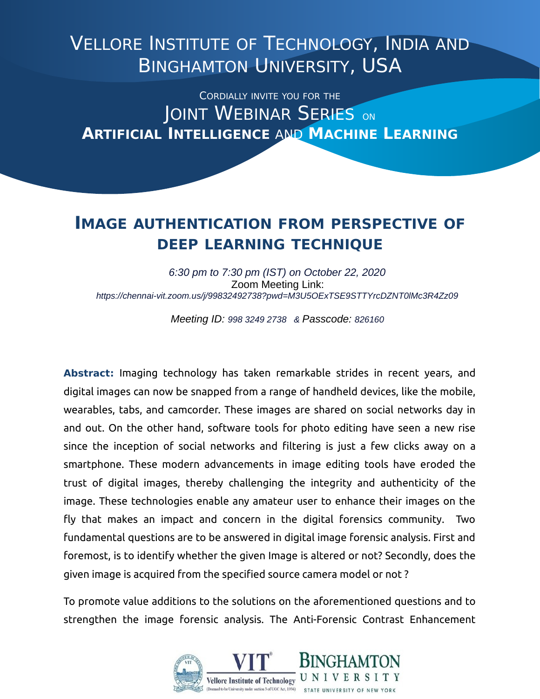## VELLORE INSTITUTE OF TECHNOLOGY, INDIA AND BINGHAMTON UNIVERSITY, USA

CORDIALLY INVITE YOU FOR THE JOINT WEBINAR SERIES ON **ARTIFICIAL INTELLIGENCE** AND **MACHINE LEARNING**

## **IMAGE AUTHENTICATION FROM PERSPECTIVE OF DEEP LEARNING TECHNIQUE**

*6:30 pm to 7:30 pm (IST) on October 22, 2020* Zoom Meeting Link: *https://chennai-vit.zoom.us/j/99832492738?pwd=M3U5OExTSE9STTYrcDZNT0lMc3R4Zz09*

*Meeting ID: 998 3249 2738 & Passcode: 826160*

**Abstract:** Imaging technology has taken remarkable strides in recent years, and digital images can now be snapped from a range of handheld devices, like the mobile, wearables, tabs, and camcorder. These images are shared on social networks day in and out. On the other hand, software tools for photo editing have seen a new rise since the inception of social networks and filtering is just a few clicks away on a smartphone. These modern advancements in image editing tools have eroded the trust of digital images, thereby challenging the integrity and authenticity of the image. These technologies enable any amateur user to enhance their images on the fly that makes an impact and concern in the digital forensics community. Two fundamental questions are to be answered in digital image forensic analysis. First and foremost, is to identify whether the given Image is altered or not? Secondly, does the given image is acquired from the specified source camera model or not ?

To promote value additions to the solutions on the aforementioned questions and to strengthen the image forensic analysis. The Anti-Forensic Contrast Enhancement